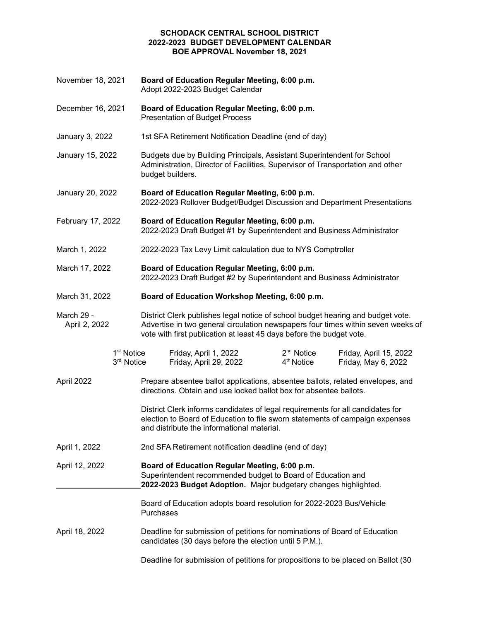November 18, 2021 Adopt 2022-2023 Budget Calendar December 16, 2021 Presentation of Budget Process January 3, 2022 January 15, 2022 Administration, Director of Facilities, Supervisor of Transportation and other January 20, 2022 2022-2023 Rollover Budget/Budget Discussion and Department Presentations February 17, 2022 2022-2023 Draft Budget #1 by Superintendent and Business Administrator March 1, 2022 March 17, 2022 2022-2023 Draft Budget #2 by Superintendent and Business Administrator March 31, 2022 March 29 -April 2, 2022 vote with first publication at least 45 days before the budget vote.  $1<sup>st</sup>$  Notice Friday, April 1, 2022 2<sup>nd</sup> Notice Friday, April 15, 2022  $3<sup>rd</sup>$  Notice Friday, April 29, 2022  $4<sup>th</sup>$  Notice Friday, May 6, 2022 April 2022 Prepare absentee ballot applications, absentee ballots, related envelopes, and directions. Obtain and use locked ballot box for absentee ballots. District Clerk informs candidates of legal requirements for all candidates for election to Board of Education to file sworn statements of campaign expenses and distribute the informational material. April 1, 2022 April 12, 2022 Superintendent recommended budget to Board of Education and  **2022-2023 Budget Adoption.** Major budgetary changes highlighted. Board of Education adopts board resolution for 2022-2023 Bus/Vehicle April 18, 2022 candidates (30 days before the election until 5 P.M.). Deadline for submission of petitions for propositions to be placed on Ballot (30**Board of Education Regular Meeting, 6:00 p.m. Board of Education Regular Meeting, 6:00 p.m.** 1st SFA Retirement Notification Deadline (end of day) Budgets due by Building Principals, Assistant Superintendent for School budget builders. Board of Education Regular Meeting, 6:00 p.m. February 17, 2022 **Board of Education Regular Meeting, 6:00 p.m.** 2022-2023 Tax Levy Limit calculation due to NYS Comptroller March 17, 2022 **Board of Education Regular Meeting, 6:00 p.m.** March 31, 2022 **Board of Education Workshop Meeting, 6:00 p.m.** District Clerk publishes legal notice of school budget hearing and budget vote. Advertise in two general circulation newspapers four times within seven weeks of 2nd SFA Retirement notification deadline (end of day) April 12, 2022 **Board of Education Regular Meeting, 6:00 p.m.** Purchases Deadline for submission of petitions for nominations of Board of Education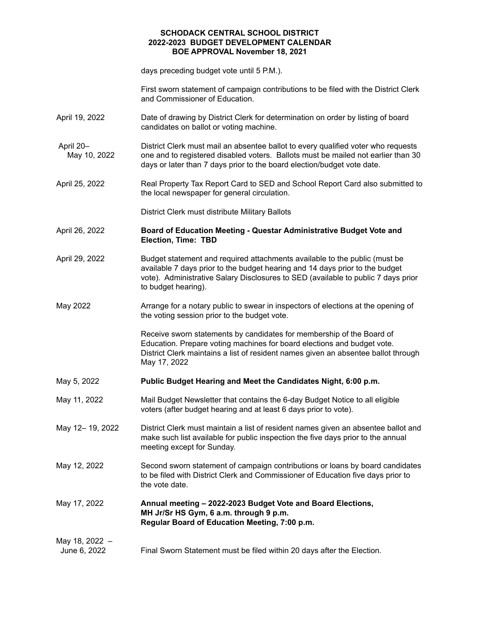days preceding budget vote until 5 P.M.).

 First sworn statement of campaign contributions to be filed with the District Clerk and Commissioner of Education.

- April 19, 2022 candidates on ballot or voting machine. Date of drawing by District Clerk for determination on order by listing of board
- District Clerk must mail an absentee ballot to every qualified voter who requests May 10, 2022 days or later than 7 days prior to the board election/budget vote date. April 20– one and to registered disabled voters. Ballots must be mailed not earlier than 30
- April 25, 2022 the local newspaper for general circulation. Real Property Tax Report Card to SED and School Report Card also submitted to
	- District Clerk must distribute Military Ballots
- April 26, 2022  **Election, Time: TBD** April 26, 2022 **Board of Education Meeting - Questar Administrative Budget Vote and**
- April 29, 2022 available 7 days prior to the budget hearing and 14 days prior to the budget vote). Administrative Salary Disclosures to SED (available to public 7 days prior to budget hearing). Budget statement and required attachments available to the public (must be
- May 2022 Arrange for a notary public to swear in inspectors of elections at the opening of the voting session prior to the budget vote.

 Receive sworn statements by candidates for membership of the Board of Education. Prepare voting machines for board elections and budget vote. District Clerk maintains a list of resident names given an absentee ballot through May 17, 2022

- May 5, 2022 May 5, 2022 **Public Budget Hearing and Meet the Candidates Night, 6:00 p.m.**
- May 11, 2022 voters (after budget hearing and at least 6 days prior to vote). Mail Budget Newsletter that contains the 6-day Budget Notice to all eligible
- May 12-19, 2022 make such list available for public inspection the five days prior to the annual meeting except for Sunday. District Clerk must maintain a list of resident names given an absentee ballot and
- May 12, 2022 to be filed with District Clerk and Commissioner of Education five days prior to the vote date. Second sworn statement of campaign contributions or loans by board candidates

May 17, 2022  **MH Jr/Sr HS Gym, 6 a.m. through 9 p.m. Regular Board of Education Meeting, 7:00 p.m.** May 17, 2022 **Annual meeting – 2022-2023 Budget Vote and Board Elections,**

 May 18, 2022 – June 6, 2022 Final Sworn Statement must be filed within 20 days after the Election.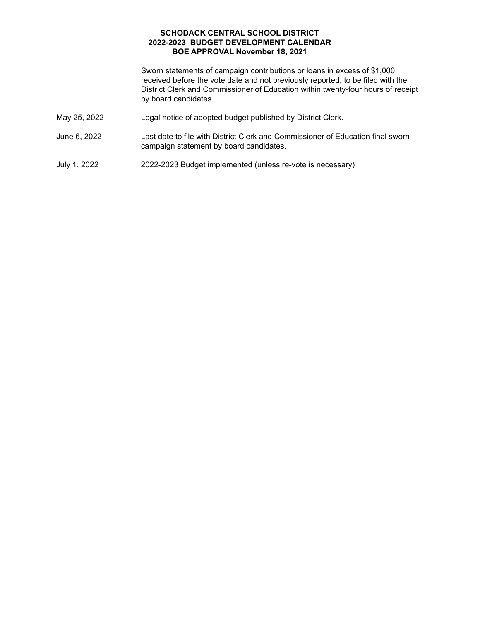Sworn statements of campaign contributions or loans in excess of \$1,000, received before the vote date and not previously reported, to be filed with the District Clerk and Commissioner of Education within twenty-four hours of receipt by board candidates.

- May 25, 2022 Legal notice of adopted budget published by District Clerk.
- June 6, 2022 campaign statement by board candidates. Last date to file with District Clerk and Commissioner of Education final sworn
- July 1, 2022 2022-2023 Budget implemented (unless re-vote is necessary)